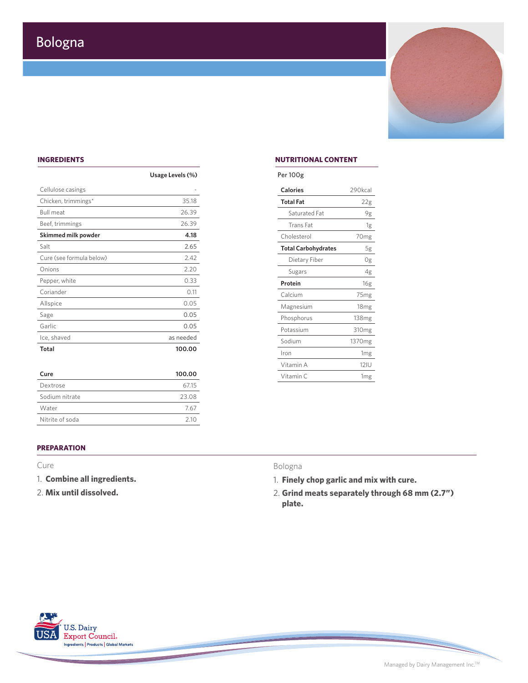

### **INGREDIENTS**

|                          | Usage Levels (%) | Per 100g         |
|--------------------------|------------------|------------------|
| Cellulose casings        |                  | <b>Calories</b>  |
| Chicken, trimmings*      | 35.18            | <b>Total Fat</b> |
| <b>Bull meat</b>         | 26.39            | Satura           |
| Beef, trimmings          | 26.39            | Trans            |
| Skimmed milk powder      | 4.18             | Choleste         |
| Salt                     | 2.65             | <b>Total Ca</b>  |
| Cure (see formula below) | 2.42             | Dieta            |
| Onions                   | 2.20             | Sugar            |
| Pepper, white            | 0.33             | Protein          |
| Coriander                | 0.11             | Calcium          |
| Allspice                 | 0.05             | Magnesi          |
| Sage                     | 0.05             | Phospho          |
| Garlic                   | 0.05             | Potassiu         |
| Ice, shaved              | as needed        | Sodium           |
| Total                    | 100.00           | 140m             |

| Cure            | 100.00 |
|-----------------|--------|
| Dextrose        | 6715   |
| Sodium nitrate  | 23.08  |
| Water           | 767    |
| Nitrite of soda | 210    |

## **NUTRITIONAL CONTENT**

| Per IUUg                   |                    |
|----------------------------|--------------------|
| Calories                   | 290kcal            |
| Total Fat                  | 22g                |
| Saturated Fat              | 9g                 |
| Trans Fat                  | 1g                 |
| Cholesterol                | 70 <sub>mg</sub>   |
| <b>Total Carbohydrates</b> | 5g                 |
| Dietary Fiber              | 0g                 |
| Sugars                     | 4g                 |
| Protein                    | 16g                |
| Calcium                    | 75mg               |
| Magnesium                  | 18 <sub>mg</sub>   |
| Phosphorus                 | 138 <sub>mg</sub>  |
| Potassium                  | 310 <sub>mg</sub>  |
| Sodium                     | 1370 <sub>mg</sub> |
| Iron                       | 1 <sub>mg</sub>    |
| Vitamin A                  | <b>12IU</b>        |
| Vitamin C                  | 1 <sub>mg</sub>    |
|                            |                    |

# **PREPARATION**

# Cure

- 1. **Combine all ingredients.**
- 2. **Mix until dissolved.**

### Bologna

- 1. **Finely chop garlic and mix with cure.**
- 2. **Grind meats separately through 68 mm (2.7") plate.**



Managed by Dairy Management Inc.TM